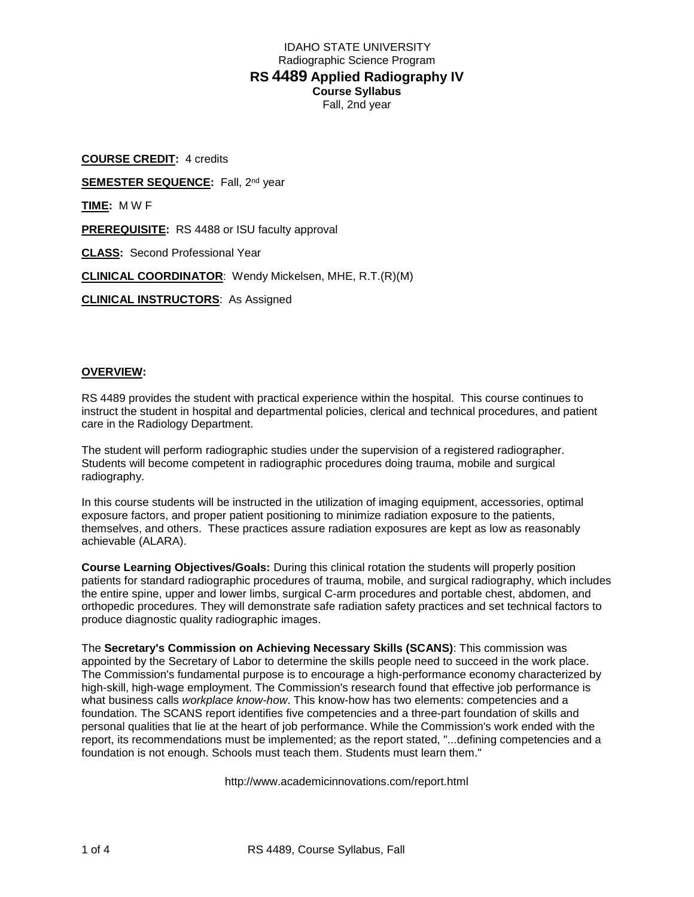# IDAHO STATE UNIVERSITY Radiographic Science Program **RS 4489 Applied Radiography IV Course Syllabus** Fall, 2nd year

**COURSE CREDIT:** 4 credits **SEMESTER SEQUENCE:** Fall, 2<sup>nd</sup> year **TIME:** M W F **PREREQUISITE:** RS 4488 or ISU faculty approval **CLASS:** Second Professional Year **CLINICAL COORDINATOR**: Wendy Mickelsen, MHE, R.T.(R)(M) **CLINICAL INSTRUCTORS**: As Assigned

### **OVERVIEW:**

RS 4489 provides the student with practical experience within the hospital. This course continues to instruct the student in hospital and departmental policies, clerical and technical procedures, and patient care in the Radiology Department.

The student will perform radiographic studies under the supervision of a registered radiographer. Students will become competent in radiographic procedures doing trauma, mobile and surgical radiography.

In this course students will be instructed in the utilization of imaging equipment, accessories, optimal exposure factors, and proper patient positioning to minimize radiation exposure to the patients, themselves, and others. These practices assure radiation exposures are kept as low as reasonably achievable (ALARA).

**Course Learning Objectives/Goals:** During this clinical rotation the students will properly position patients for standard radiographic procedures of trauma, mobile, and surgical radiography, which includes the entire spine, upper and lower limbs, surgical C-arm procedures and portable chest, abdomen, and orthopedic procedures. They will demonstrate safe radiation safety practices and set technical factors to produce diagnostic quality radiographic images.

The **Secretary's Commission on Achieving Necessary Skills (SCANS)**: This commission was appointed by the Secretary of Labor to determine the skills people need to succeed in the work place. The Commission's fundamental purpose is to encourage a high-performance economy characterized by high-skill, high-wage employment. The Commission's research found that effective job performance is what business calls *workplace know-how*. This know-how has two elements: competencies and a foundation. The SCANS report identifies five competencies and a three-part foundation of skills and personal qualities that lie at the heart of job performance. While the Commission's work ended with the report, its recommendations must be implemented; as the report stated, "...defining competencies and a foundation is not enough. Schools must teach them. Students must learn them."

http://www.academicinnovations.com/report.html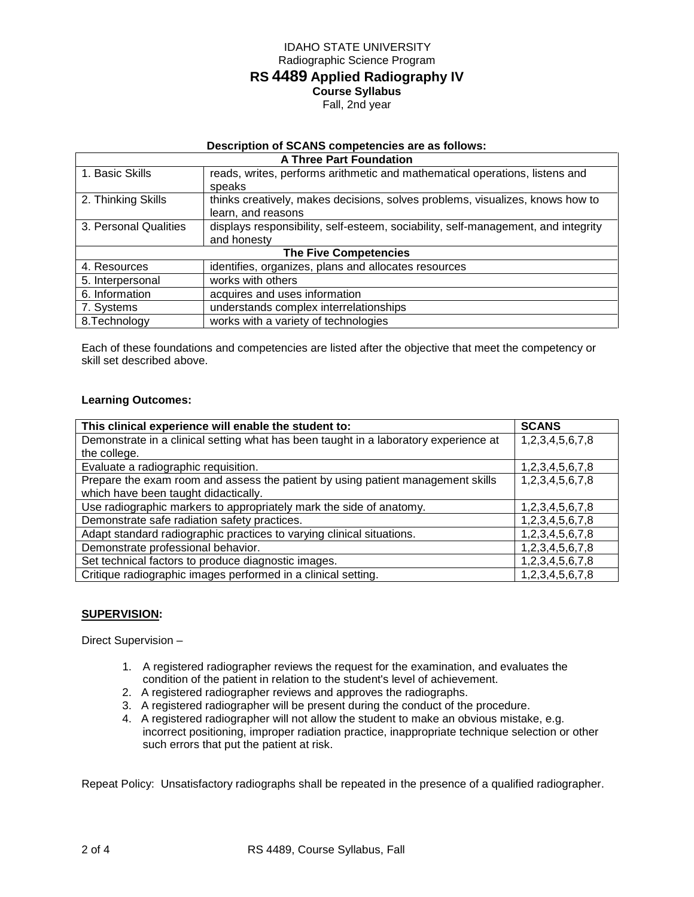# IDAHO STATE UNIVERSITY Radiographic Science Program **RS 4489 Applied Radiography IV Course Syllabus** Fall, 2nd year

## **Description of SCANS competencies are as follows:**

| <b>A Three Part Foundation</b> |                                                                                   |  |  |  |
|--------------------------------|-----------------------------------------------------------------------------------|--|--|--|
| 1. Basic Skills                | reads, writes, performs arithmetic and mathematical operations, listens and       |  |  |  |
|                                | speaks                                                                            |  |  |  |
| 2. Thinking Skills             | thinks creatively, makes decisions, solves problems, visualizes, knows how to     |  |  |  |
|                                | learn, and reasons                                                                |  |  |  |
| 3. Personal Qualities          | displays responsibility, self-esteem, sociability, self-management, and integrity |  |  |  |
|                                | and honesty                                                                       |  |  |  |
| <b>The Five Competencies</b>   |                                                                                   |  |  |  |
| 4. Resources                   | identifies, organizes, plans and allocates resources                              |  |  |  |
| 5. Interpersonal               | works with others                                                                 |  |  |  |
| 6. Information                 | acquires and uses information                                                     |  |  |  |
| 7. Systems                     | understands complex interrelationships                                            |  |  |  |
| 8. Technology                  | works with a variety of technologies                                              |  |  |  |

Each of these foundations and competencies are listed after the objective that meet the competency or skill set described above.

## **Learning Outcomes:**

| This clinical experience will enable the student to:                                 | <b>SCANS</b>    |
|--------------------------------------------------------------------------------------|-----------------|
| Demonstrate in a clinical setting what has been taught in a laboratory experience at | 1,2,3,4,5,6,7,8 |
| the college.                                                                         |                 |
| Evaluate a radiographic requisition.                                                 | 1,2,3,4,5,6,7,8 |
| Prepare the exam room and assess the patient by using patient management skills      | 1,2,3,4,5,6,7,8 |
| which have been taught didactically.                                                 |                 |
| Use radiographic markers to appropriately mark the side of anatomy.                  | 1,2,3,4,5,6,7,8 |
| Demonstrate safe radiation safety practices.                                         | 1,2,3,4,5,6,7,8 |
| Adapt standard radiographic practices to varying clinical situations.                | 1,2,3,4,5,6,7,8 |
| Demonstrate professional behavior.                                                   | 1,2,3,4,5,6,7,8 |
| Set technical factors to produce diagnostic images.                                  | 1,2,3,4,5,6,7,8 |
| Critique radiographic images performed in a clinical setting.                        | 1,2,3,4,5,6,7,8 |

### **SUPERVISION:**

Direct Supervision –

- 1. A registered radiographer reviews the request for the examination, and evaluates the condition of the patient in relation to the student's level of achievement.
- 2. A registered radiographer reviews and approves the radiographs.
- 3. A registered radiographer will be present during the conduct of the procedure.
- 4. A registered radiographer will not allow the student to make an obvious mistake, e.g. incorrect positioning, improper radiation practice, inappropriate technique selection or other such errors that put the patient at risk.

Repeat Policy: Unsatisfactory radiographs shall be repeated in the presence of a qualified radiographer.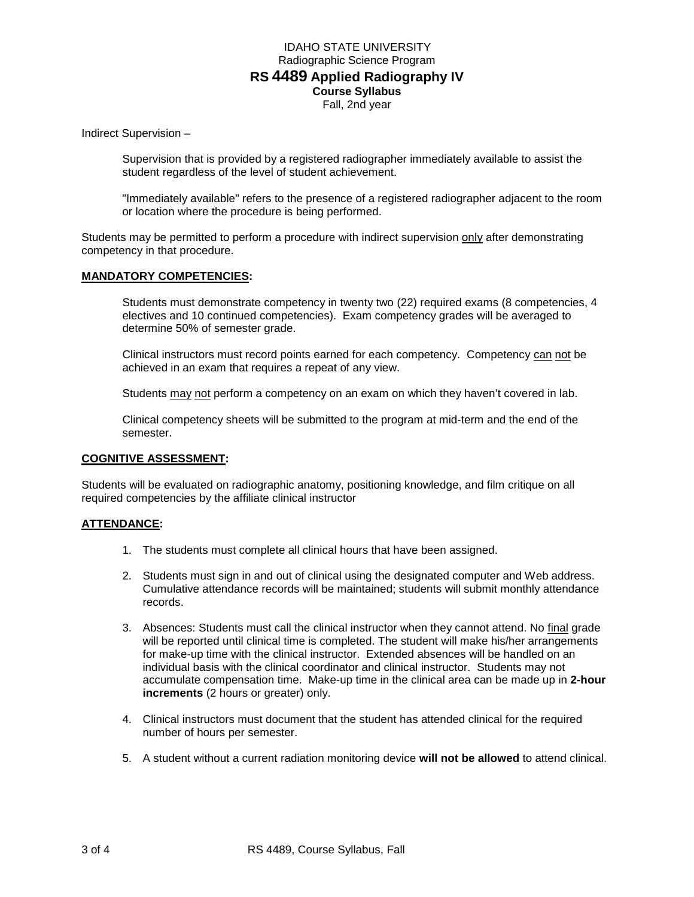## IDAHO STATE UNIVERSITY Radiographic Science Program **RS 4489 Applied Radiography IV Course Syllabus** Fall, 2nd year

Indirect Supervision –

Supervision that is provided by a registered radiographer immediately available to assist the student regardless of the level of student achievement.

"Immediately available" refers to the presence of a registered radiographer adjacent to the room or location where the procedure is being performed.

Students may be permitted to perform a procedure with indirect supervision only after demonstrating competency in that procedure.

#### **MANDATORY COMPETENCIES:**

Students must demonstrate competency in twenty two (22) required exams (8 competencies, 4 electives and 10 continued competencies). Exam competency grades will be averaged to determine 50% of semester grade.

Clinical instructors must record points earned for each competency. Competency can not be achieved in an exam that requires a repeat of any view.

Students may not perform a competency on an exam on which they haven't covered in lab.

Clinical competency sheets will be submitted to the program at mid-term and the end of the semester.

### **COGNITIVE ASSESSMENT:**

Students will be evaluated on radiographic anatomy, positioning knowledge, and film critique on all required competencies by the affiliate clinical instructor

#### **ATTENDANCE:**

- 1. The students must complete all clinical hours that have been assigned.
- 2. Students must sign in and out of clinical using the designated computer and Web address. Cumulative attendance records will be maintained; students will submit monthly attendance records.
- 3. Absences: Students must call the clinical instructor when they cannot attend. No final grade will be reported until clinical time is completed. The student will make his/her arrangements for make-up time with the clinical instructor. Extended absences will be handled on an individual basis with the clinical coordinator and clinical instructor. Students may not accumulate compensation time. Make-up time in the clinical area can be made up in **2-hour increments** (2 hours or greater) only.
- 4. Clinical instructors must document that the student has attended clinical for the required number of hours per semester.
- 5. A student without a current radiation monitoring device **will not be allowed** to attend clinical.